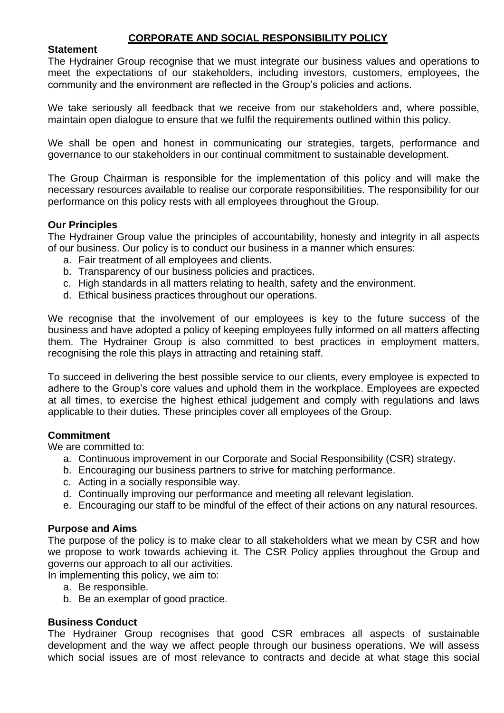# **CORPORATE AND SOCIAL RESPONSIBILITY POLICY**

### **Statement**

The Hydrainer Group recognise that we must integrate our business values and operations to meet the expectations of our stakeholders, including investors, customers, employees, the community and the environment are reflected in the Group's policies and actions.

We take seriously all feedback that we receive from our stakeholders and, where possible, maintain open dialogue to ensure that we fulfil the requirements outlined within this policy.

We shall be open and honest in communicating our strategies, targets, performance and governance to our stakeholders in our continual commitment to sustainable development.

The Group Chairman is responsible for the implementation of this policy and will make the necessary resources available to realise our corporate responsibilities. The responsibility for our performance on this policy rests with all employees throughout the Group.

### **Our Principles**

The Hydrainer Group value the principles of accountability, honesty and integrity in all aspects of our business. Our policy is to conduct our business in a manner which ensures:

- a. Fair treatment of all employees and clients.
- b. Transparency of our business policies and practices.
- c. High standards in all matters relating to health, safety and the environment.
- d. Ethical business practices throughout our operations.

We recognise that the involvement of our employees is key to the future success of the business and have adopted a policy of keeping employees fully informed on all matters affecting them. The Hydrainer Group is also committed to best practices in employment matters, recognising the role this plays in attracting and retaining staff.

To succeed in delivering the best possible service to our clients, every employee is expected to adhere to the Group's core values and uphold them in the workplace. Employees are expected at all times, to exercise the highest ethical judgement and comply with regulations and laws applicable to their duties. These principles cover all employees of the Group.

#### **Commitment**

We are committed to:

- a. Continuous improvement in our Corporate and Social Responsibility (CSR) strategy.
- b. Encouraging our business partners to strive for matching performance.
- c. Acting in a socially responsible way.
- d. Continually improving our performance and meeting all relevant legislation.
- e. Encouraging our staff to be mindful of the effect of their actions on any natural resources.

#### **Purpose and Aims**

The purpose of the policy is to make clear to all stakeholders what we mean by CSR and how we propose to work towards achieving it. The CSR Policy applies throughout the Group and governs our approach to all our activities.

In implementing this policy, we aim to:

- a. Be responsible.
- b. Be an exemplar of good practice.

### **Business Conduct**

The Hydrainer Group recognises that good CSR embraces all aspects of sustainable development and the way we affect people through our business operations. We will assess which social issues are of most relevance to contracts and decide at what stage this social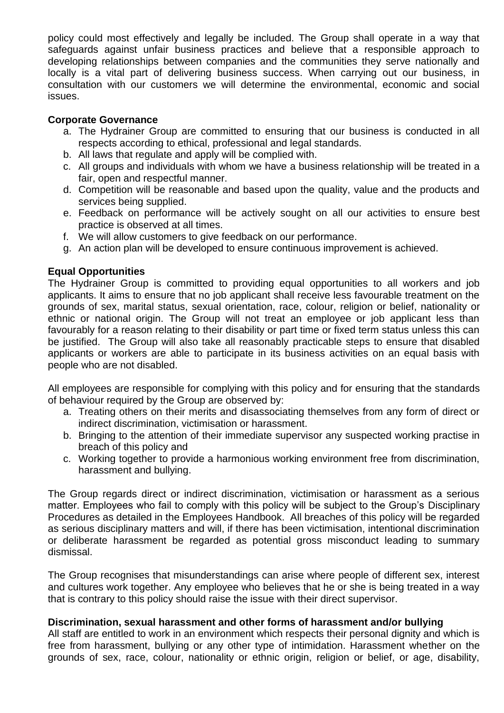policy could most effectively and legally be included. The Group shall operate in a way that safeguards against unfair business practices and believe that a responsible approach to developing relationships between companies and the communities they serve nationally and locally is a vital part of delivering business success. When carrying out our business, in consultation with our customers we will determine the environmental, economic and social issues.

### **Corporate Governance**

- a. The Hydrainer Group are committed to ensuring that our business is conducted in all respects according to ethical, professional and legal standards.
- b. All laws that regulate and apply will be complied with.
- c. All groups and individuals with whom we have a business relationship will be treated in a fair, open and respectful manner.
- d. Competition will be reasonable and based upon the quality, value and the products and services being supplied.
- e. Feedback on performance will be actively sought on all our activities to ensure best practice is observed at all times.
- f. We will allow customers to give feedback on our performance.
- g. An action plan will be developed to ensure continuous improvement is achieved.

## **Equal Opportunities**

The Hydrainer Group is committed to providing equal opportunities to all workers and job applicants. It aims to ensure that no job applicant shall receive less favourable treatment on the grounds of sex, marital status, sexual orientation, race, colour, religion or belief, nationality or ethnic or national origin. The Group will not treat an employee or job applicant less than favourably for a reason relating to their disability or part time or fixed term status unless this can be justified. The Group will also take all reasonably practicable steps to ensure that disabled applicants or workers are able to participate in its business activities on an equal basis with people who are not disabled.

All employees are responsible for complying with this policy and for ensuring that the standards of behaviour required by the Group are observed by:

- a. Treating others on their merits and disassociating themselves from any form of direct or indirect discrimination, victimisation or harassment.
- b. Bringing to the attention of their immediate supervisor any suspected working practise in breach of this policy and
- c. Working together to provide a harmonious working environment free from discrimination, harassment and bullying.

The Group regards direct or indirect discrimination, victimisation or harassment as a serious matter. Employees who fail to comply with this policy will be subject to the Group's Disciplinary Procedures as detailed in the Employees Handbook. All breaches of this policy will be regarded as serious disciplinary matters and will, if there has been victimisation, intentional discrimination or deliberate harassment be regarded as potential gross misconduct leading to summary dismissal.

The Group recognises that misunderstandings can arise where people of different sex, interest and cultures work together. Any employee who believes that he or she is being treated in a way that is contrary to this policy should raise the issue with their direct supervisor.

# **Discrimination, sexual harassment and other forms of harassment and/or bullying**

All staff are entitled to work in an environment which respects their personal dignity and which is free from harassment, bullying or any other type of intimidation. Harassment whether on the grounds of sex, race, colour, nationality or ethnic origin, religion or belief, or age, disability,